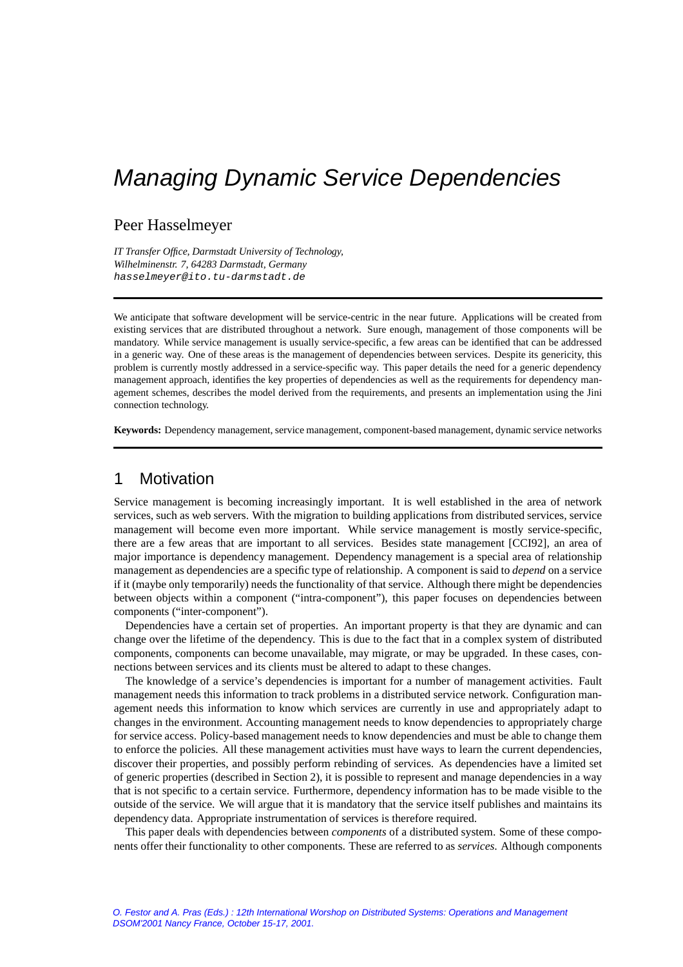# Peer Hasselmeyer

*IT Transfer Office, Darmstadt University of Technology, Wilhelminenstr. 7, 64283 Darmstadt, Germany* hasselmeyer@ito.tu-darmstadt.de

We anticipate that software development will be service-centric in the near future. Applications will be created from existing services that are distributed throughout a network. Sure enough, management of those components will be mandatory. While service management is usually service-specific, a few areas can be identified that can be addressed in a generic way. One of these areas is the management of dependencies between services. Despite its genericity, this problem is currently mostly addressed in a service-specific way. This paper details the need for a generic dependency management approach, identifies the key properties of dependencies as well as the requirements for dependency management schemes, describes the model derived from the requirements, and presents an implementation using the Jini connection technology.

**Keywords:** Dependency management, service management, component-based management, dynamic service networks

# 1 Motivation

Service management is becoming increasingly important. It is well established in the area of network services, such as web servers. With the migration to building applications from distributed services, service management will become even more important. While service management is mostly service-specific, there are a few areas that are important to all services. Besides state management [CCI92], an area of major importance is dependency management. Dependency management is a special area of relationship management as dependencies are a specific type of relationship. A component is said to *depend* on a service if it (maybe only temporarily) needs the functionality of that service. Although there might be dependencies between objects within a component ("intra-component"), this paper focuses on dependencies between components ("inter-component").

Dependencies have a certain set of properties. An important property is that they are dynamic and can change over the lifetime of the dependency. This is due to the fact that in a complex system of distributed components, components can become unavailable, may migrate, or may be upgraded. In these cases, connections between services and its clients must be altered to adapt to these changes.

The knowledge of a service's dependencies is important for a number of management activities. Fault management needs this information to track problems in a distributed service network. Configuration management needs this information to know which services are currently in use and appropriately adapt to changes in the environment. Accounting management needs to know dependencies to appropriately charge for service access. Policy-based management needs to know dependencies and must be able to change them to enforce the policies. All these management activities must have ways to learn the current dependencies, discover their properties, and possibly perform rebinding of services. As dependencies have a limited set of generic properties (described in Section 2), it is possible to represent and manage dependencies in a way that is not specific to a certain service. Furthermore, dependency information has to be made visible to the outside of the service. We will argue that it is mandatory that the service itself publishes and maintains its dependency data. Appropriate instrumentation of services is therefore required.

This paper deals with dependencies between *components* of a distributed system. Some of these components offer their functionality to other components. These are referred to as *services*. Although components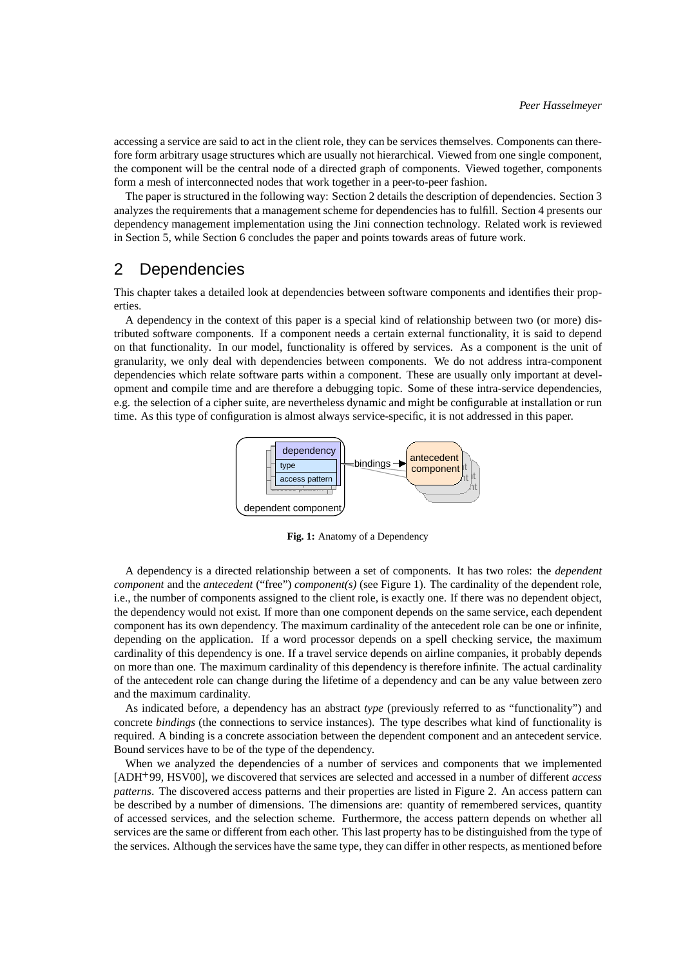accessing a service are said to act in the client role, they can be services themselves. Components can therefore form arbitrary usage structures which are usually not hierarchical. Viewed from one single component, the component will be the central node of a directed graph of components. Viewed together, components form a mesh of interconnected nodes that work together in a peer-to-peer fashion.

The paper is structured in the following way: Section 2 details the description of dependencies. Section 3 analyzes the requirements that a management scheme for dependencies has to fulfill. Section 4 presents our dependency management implementation using the Jini connection technology. Related work is reviewed in Section 5, while Section 6 concludes the paper and points towards areas of future work.

# 2 Dependencies

This chapter takes a detailed look at dependencies between software components and identifies their properties.

A dependency in the context of this paper is a special kind of relationship between two (or more) distributed software components. If a component needs a certain external functionality, it is said to depend on that functionality. In our model, functionality is offered by services. As a component is the unit of granularity, we only deal with dependencies between components. We do not address intra-component dependencies which relate software parts within a component. These are usually only important at development and compile time and are therefore a debugging topic. Some of these intra-service dependencies, e.g. the selection of a cipher suite, are nevertheless dynamic and might be configurable at installation or run time. As this type of configuration is almost always service-specific, it is not addressed in this paper.



**Fig. 1:** Anatomy of a Dependency

A dependency is a directed relationship between a set of components. It has two roles: the *dependent component* and the *antecedent* ("free") *component(s)* (see Figure 1). The cardinality of the dependent role, i.e., the number of components assigned to the client role, is exactly one. If there was no dependent object, the dependency would not exist. If more than one component depends on the same service, each dependent component has its own dependency. The maximum cardinality of the antecedent role can be one or infinite, depending on the application. If a word processor depends on a spell checking service, the maximum cardinality of this dependency is one. If a travel service depends on airline companies, it probably depends on more than one. The maximum cardinality of this dependency is therefore infinite. The actual cardinality of the antecedent role can change during the lifetime of a dependency and can be any value between zero and the maximum cardinality.

As indicated before, a dependency has an abstract *type* (previously referred to as "functionality") and concrete *bindings* (the connections to service instances). The type describes what kind of functionality is required. A binding is a concrete association between the dependent component and an antecedent service. Bound services have to be of the type of the dependency.

When we analyzed the dependencies of a number of services and components that we implemented [ADH 99, HSV00], we discovered that services are selected and accessed in a number of different *access patterns*. The discovered access patterns and their properties are listed in Figure 2. An access pattern can be described by a number of dimensions. The dimensions are: quantity of remembered services, quantity of accessed services, and the selection scheme. Furthermore, the access pattern depends on whether all services are the same or different from each other. This last property has to be distinguished from the type of the services. Although the services have the same type, they can differ in other respects, as mentioned before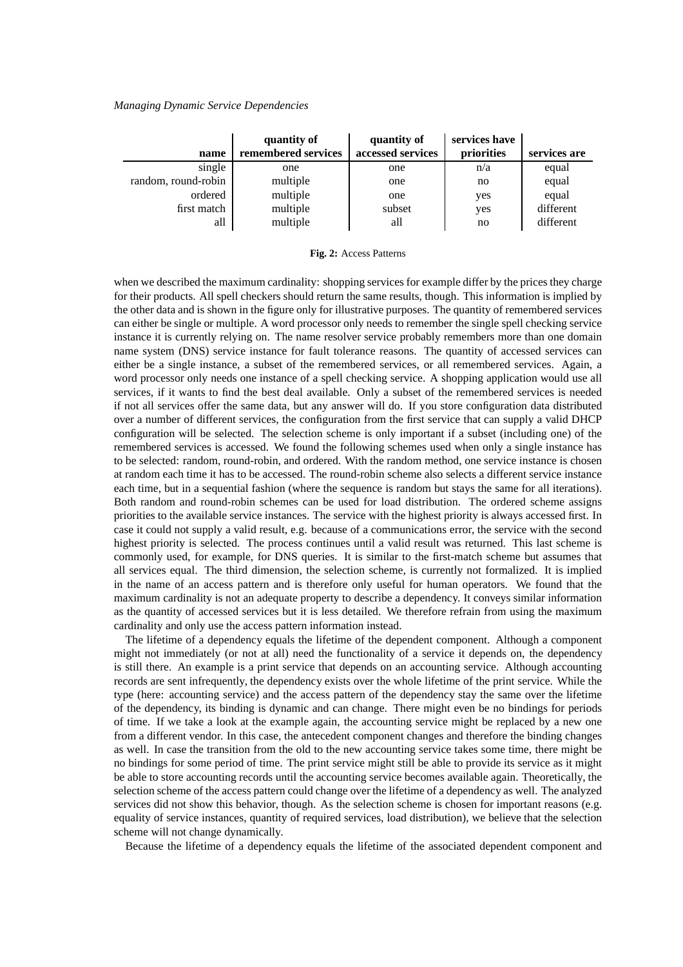|                     | quantity of         | quantity of       | services have |              |
|---------------------|---------------------|-------------------|---------------|--------------|
| name                | remembered services | accessed services | priorities    | services are |
| single              | one                 | one               | n/a           | equal        |
| random, round-robin | multiple            | one               | no            | equal        |
| ordered             | multiple            | one               | yes           | equal        |
| first match         | multiple            | subset            | yes           | different    |
| all                 | multiple            | all               | no            | different    |

**Fig. 2:** Access Patterns

when we described the maximum cardinality: shopping services for example differ by the prices they charge for their products. All spell checkers should return the same results, though. This information is implied by the other data and is shown in the figure only for illustrative purposes. The quantity of remembered services can either be single or multiple. A word processor only needs to remember the single spell checking service instance it is currently relying on. The name resolver service probably remembers more than one domain name system (DNS) service instance for fault tolerance reasons. The quantity of accessed services can either be a single instance, a subset of the remembered services, or all remembered services. Again, a word processor only needs one instance of a spell checking service. A shopping application would use all services, if it wants to find the best deal available. Only a subset of the remembered services is needed if not all services offer the same data, but any answer will do. If you store configuration data distributed over a number of different services, the configuration from the first service that can supply a valid DHCP configuration will be selected. The selection scheme is only important if a subset (including one) of the remembered services is accessed. We found the following schemes used when only a single instance has to be selected: random, round-robin, and ordered. With the random method, one service instance is chosen at random each time it has to be accessed. The round-robin scheme also selects a different service instance each time, but in a sequential fashion (where the sequence is random but stays the same for all iterations). Both random and round-robin schemes can be used for load distribution. The ordered scheme assigns priorities to the available service instances. The service with the highest priority is always accessed first. In case it could not supply a valid result, e.g. because of a communications error, the service with the second highest priority is selected. The process continues until a valid result was returned. This last scheme is commonly used, for example, for DNS queries. It is similar to the first-match scheme but assumes that all services equal. The third dimension, the selection scheme, is currently not formalized. It is implied in the name of an access pattern and is therefore only useful for human operators. We found that the maximum cardinality is not an adequate property to describe a dependency. It conveys similar information as the quantity of accessed services but it is less detailed. We therefore refrain from using the maximum cardinality and only use the access pattern information instead.

The lifetime of a dependency equals the lifetime of the dependent component. Although a component might not immediately (or not at all) need the functionality of a service it depends on, the dependency is still there. An example is a print service that depends on an accounting service. Although accounting records are sent infrequently, the dependency exists over the whole lifetime of the print service. While the type (here: accounting service) and the access pattern of the dependency stay the same over the lifetime of the dependency, its binding is dynamic and can change. There might even be no bindings for periods of time. If we take a look at the example again, the accounting service might be replaced by a new one from a different vendor. In this case, the antecedent component changes and therefore the binding changes as well. In case the transition from the old to the new accounting service takes some time, there might be no bindings for some period of time. The print service might still be able to provide its service as it might be able to store accounting records until the accounting service becomes available again. Theoretically, the selection scheme of the access pattern could change over the lifetime of a dependency as well. The analyzed services did not show this behavior, though. As the selection scheme is chosen for important reasons (e.g. equality of service instances, quantity of required services, load distribution), we believe that the selection scheme will not change dynamically.

Because the lifetime of a dependency equals the lifetime of the associated dependent component and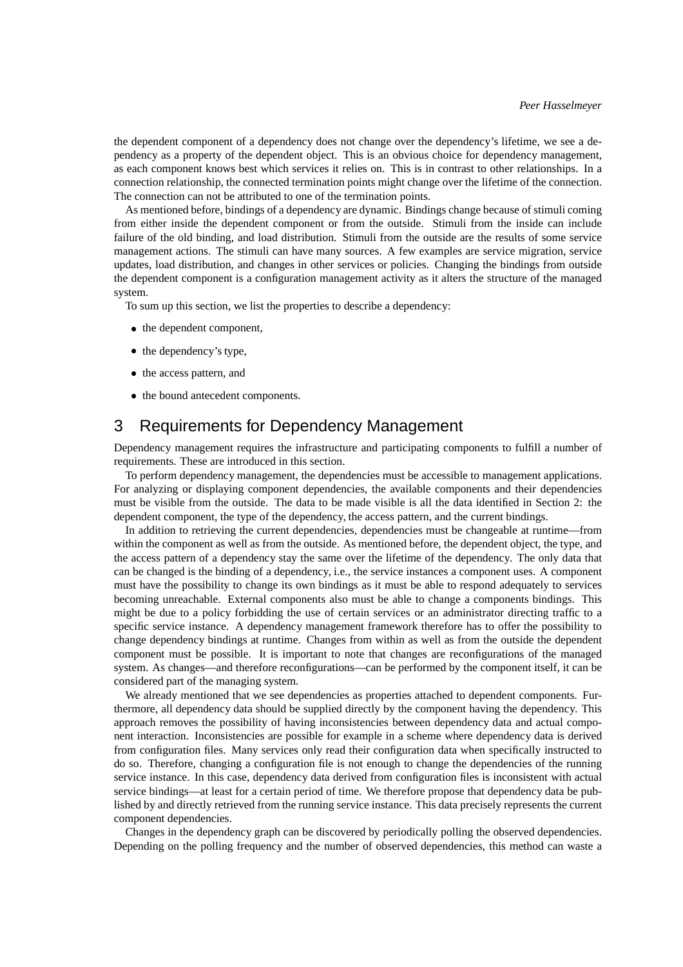the dependent component of a dependency does not change over the dependency's lifetime, we see a dependency as a property of the dependent object. This is an obvious choice for dependency management, as each component knows best which services it relies on. This is in contrast to other relationships. In a connection relationship, the connected termination points might change over the lifetime of the connection. The connection can not be attributed to one of the termination points.

As mentioned before, bindings of a dependency are dynamic. Bindings change because of stimuli coming from either inside the dependent component or from the outside. Stimuli from the inside can include failure of the old binding, and load distribution. Stimuli from the outside are the results of some service management actions. The stimuli can have many sources. A few examples are service migration, service updates, load distribution, and changes in other services or policies. Changing the bindings from outside the dependent component is a configuration management activity as it alters the structure of the managed system.

To sum up this section, we list the properties to describe a dependency:

- the dependent component,
- the dependency's type,
- the access pattern, and
- the bound antecedent components.

# 3 Requirements for Dependency Management

Dependency management requires the infrastructure and participating components to fulfill a number of requirements. These are introduced in this section.

To perform dependency management, the dependencies must be accessible to management applications. For analyzing or displaying component dependencies, the available components and their dependencies must be visible from the outside. The data to be made visible is all the data identified in Section 2: the dependent component, the type of the dependency, the access pattern, and the current bindings.

In addition to retrieving the current dependencies, dependencies must be changeable at runtime—from within the component as well as from the outside. As mentioned before, the dependent object, the type, and the access pattern of a dependency stay the same over the lifetime of the dependency. The only data that can be changed is the binding of a dependency, i.e., the service instances a component uses. A component must have the possibility to change its own bindings as it must be able to respond adequately to services becoming unreachable. External components also must be able to change a components bindings. This might be due to a policy forbidding the use of certain services or an administrator directing traffic to a specific service instance. A dependency management framework therefore has to offer the possibility to change dependency bindings at runtime. Changes from within as well as from the outside the dependent component must be possible. It is important to note that changes are reconfigurations of the managed system. As changes—and therefore reconfigurations—can be performed by the component itself, it can be considered part of the managing system.

We already mentioned that we see dependencies as properties attached to dependent components. Furthermore, all dependency data should be supplied directly by the component having the dependency. This approach removes the possibility of having inconsistencies between dependency data and actual component interaction. Inconsistencies are possible for example in a scheme where dependency data is derived from configuration files. Many services only read their configuration data when specifically instructed to do so. Therefore, changing a configuration file is not enough to change the dependencies of the running service instance. In this case, dependency data derived from configuration files is inconsistent with actual service bindings—at least for a certain period of time. We therefore propose that dependency data be published by and directly retrieved from the running service instance. This data precisely represents the current component dependencies.

Changes in the dependency graph can be discovered by periodically polling the observed dependencies. Depending on the polling frequency and the number of observed dependencies, this method can waste a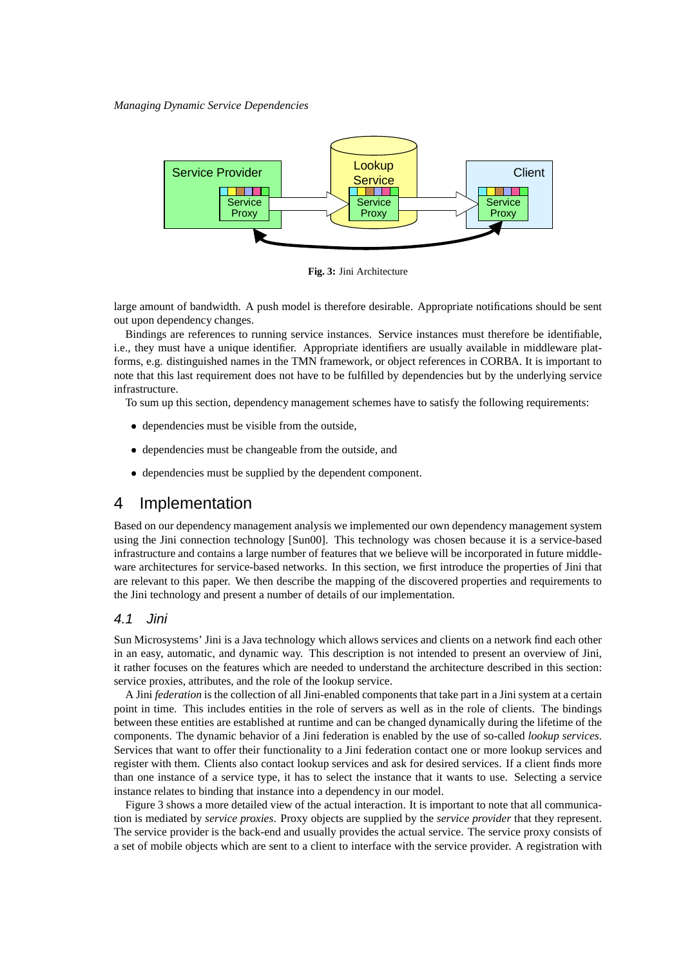

**Fig. 3:** Jini Architecture

large amount of bandwidth. A push model is therefore desirable. Appropriate notifications should be sent out upon dependency changes.

Bindings are references to running service instances. Service instances must therefore be identifiable, i.e., they must have a unique identifier. Appropriate identifiers are usually available in middleware platforms, e.g. distinguished names in the TMN framework, or object references in CORBA. It is important to note that this last requirement does not have to be fulfilled by dependencies but by the underlying service infrastructure.

To sum up this section, dependency management schemes have to satisfy the following requirements:

- dependencies must be visible from the outside,
- dependencies must be changeable from the outside, and
- dependencies must be supplied by the dependent component.

### 4 Implementation

Based on our dependency management analysis we implemented our own dependency management system using the Jini connection technology [Sun00]. This technology was chosen because it is a service-based infrastructure and contains a large number of features that we believe will be incorporated in future middleware architectures for service-based networks. In this section, we first introduce the properties of Jini that are relevant to this paper. We then describe the mapping of the discovered properties and requirements to the Jini technology and present a number of details of our implementation.

#### 4.1 Jini

Sun Microsystems' Jini is a Java technology which allows services and clients on a network find each other in an easy, automatic, and dynamic way. This description is not intended to present an overview of Jini, it rather focuses on the features which are needed to understand the architecture described in this section: service proxies, attributes, and the role of the lookup service.

A Jini *federation* is the collection of all Jini-enabled components that take part in a Jini system at a certain point in time. This includes entities in the role of servers as well as in the role of clients. The bindings between these entities are established at runtime and can be changed dynamically during the lifetime of the components. The dynamic behavior of a Jini federation is enabled by the use of so-called *lookup services*. Services that want to offer their functionality to a Jini federation contact one or more lookup services and register with them. Clients also contact lookup services and ask for desired services. If a client finds more than one instance of a service type, it has to select the instance that it wants to use. Selecting a service instance relates to binding that instance into a dependency in our model.

Figure 3 shows a more detailed view of the actual interaction. It is important to note that all communication is mediated by *service proxies*. Proxy objects are supplied by the *service provider* that they represent. The service provider is the back-end and usually provides the actual service. The service proxy consists of a set of mobile objects which are sent to a client to interface with the service provider. A registration with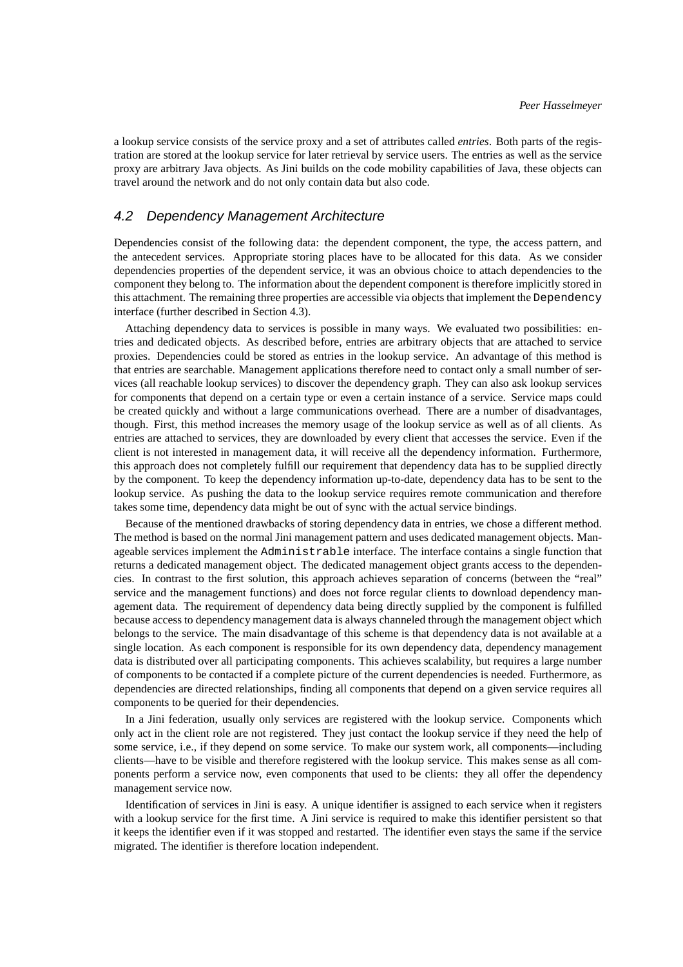a lookup service consists of the service proxy and a set of attributes called *entries*. Both parts of the registration are stored at the lookup service for later retrieval by service users. The entries as well as the service proxy are arbitrary Java objects. As Jini builds on the code mobility capabilities of Java, these objects can travel around the network and do not only contain data but also code.

#### 4.2 Dependency Management Architecture

Dependencies consist of the following data: the dependent component, the type, the access pattern, and the antecedent services. Appropriate storing places have to be allocated for this data. As we consider dependencies properties of the dependent service, it was an obvious choice to attach dependencies to the component they belong to. The information about the dependent component is therefore implicitly stored in this attachment. The remaining three properties are accessible via objects that implement the Dependency interface (further described in Section 4.3).

Attaching dependency data to services is possible in many ways. We evaluated two possibilities: entries and dedicated objects. As described before, entries are arbitrary objects that are attached to service proxies. Dependencies could be stored as entries in the lookup service. An advantage of this method is that entries are searchable. Management applications therefore need to contact only a small number of services (all reachable lookup services) to discover the dependency graph. They can also ask lookup services for components that depend on a certain type or even a certain instance of a service. Service maps could be created quickly and without a large communications overhead. There are a number of disadvantages, though. First, this method increases the memory usage of the lookup service as well as of all clients. As entries are attached to services, they are downloaded by every client that accesses the service. Even if the client is not interested in management data, it will receive all the dependency information. Furthermore, this approach does not completely fulfill our requirement that dependency data has to be supplied directly by the component. To keep the dependency information up-to-date, dependency data has to be sent to the lookup service. As pushing the data to the lookup service requires remote communication and therefore takes some time, dependency data might be out of sync with the actual service bindings.

Because of the mentioned drawbacks of storing dependency data in entries, we chose a different method. The method is based on the normal Jini management pattern and uses dedicated management objects. Manageable services implement the Administrable interface. The interface contains a single function that returns a dedicated management object. The dedicated management object grants access to the dependencies. In contrast to the first solution, this approach achieves separation of concerns (between the "real" service and the management functions) and does not force regular clients to download dependency management data. The requirement of dependency data being directly supplied by the component is fulfilled because access to dependency management data is always channeled through the management object which belongs to the service. The main disadvantage of this scheme is that dependency data is not available at a single location. As each component is responsible for its own dependency data, dependency management data is distributed over all participating components. This achieves scalability, but requires a large number of components to be contacted if a complete picture of the current dependencies is needed. Furthermore, as dependencies are directed relationships, finding all components that depend on a given service requires all components to be queried for their dependencies.

In a Jini federation, usually only services are registered with the lookup service. Components which only act in the client role are not registered. They just contact the lookup service if they need the help of some service, i.e., if they depend on some service. To make our system work, all components—including clients—have to be visible and therefore registered with the lookup service. This makes sense as all components perform a service now, even components that used to be clients: they all offer the dependency management service now.

Identification of services in Jini is easy. A unique identifier is assigned to each service when it registers with a lookup service for the first time. A Jini service is required to make this identifier persistent so that it keeps the identifier even if it was stopped and restarted. The identifier even stays the same if the service migrated. The identifier is therefore location independent.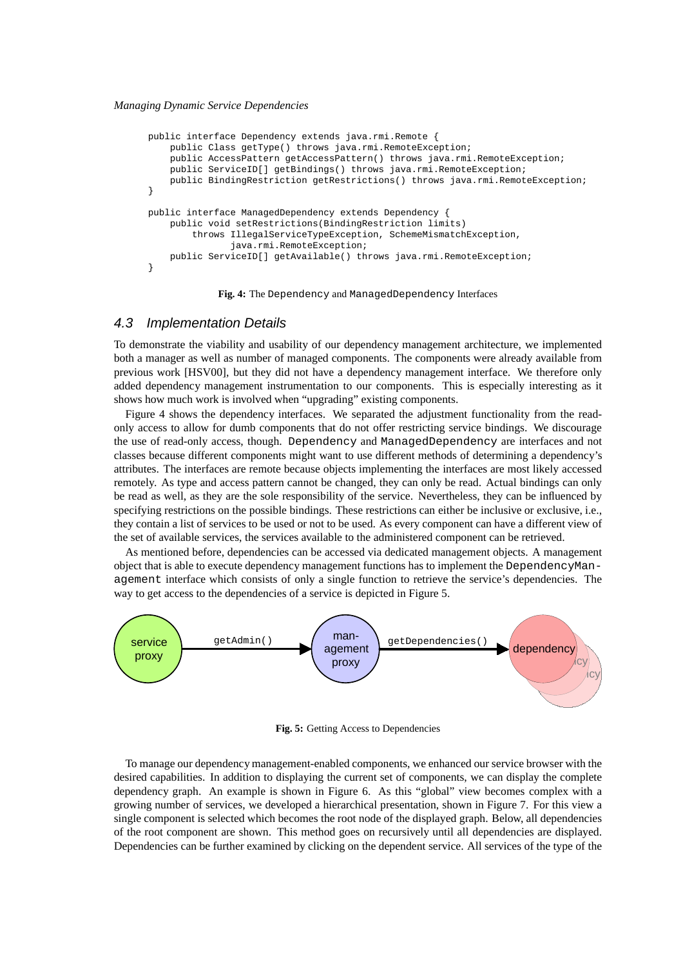```
public interface Dependency extends java.rmi.Remote {
   public Class getType() throws java.rmi.RemoteException;
   public AccessPattern getAccessPattern() throws java.rmi.RemoteException;
   public ServiceID[] getBindings() throws java.rmi.RemoteException;
   public BindingRestriction getRestrictions() throws java.rmi.RemoteException;
}
public interface ManagedDependency extends Dependency {
   public void setRestrictions(BindingRestriction limits)
        throws IllegalServiceTypeException, SchemeMismatchException,
               java.rmi.RemoteException;
   public ServiceID[] getAvailable() throws java.rmi.RemoteException;
}
```
**Fig. 4:** The Dependency and ManagedDependency Interfaces

#### 4.3 Implementation Details

To demonstrate the viability and usability of our dependency management architecture, we implemented both a manager as well as number of managed components. The components were already available from previous work [HSV00], but they did not have a dependency management interface. We therefore only added dependency management instrumentation to our components. This is especially interesting as it shows how much work is involved when "upgrading" existing components.

Figure 4 shows the dependency interfaces. We separated the adjustment functionality from the readonly access to allow for dumb components that do not offer restricting service bindings. We discourage the use of read-only access, though. Dependency and ManagedDependency are interfaces and not classes because different components might want to use different methods of determining a dependency's attributes. The interfaces are remote because objects implementing the interfaces are most likely accessed remotely. As type and access pattern cannot be changed, they can only be read. Actual bindings can only be read as well, as they are the sole responsibility of the service. Nevertheless, they can be influenced by specifying restrictions on the possible bindings. These restrictions can either be inclusive or exclusive, i.e., they contain a list of services to be used or not to be used. As every component can have a different view of the set of available services, the services available to the administered component can be retrieved.

As mentioned before, dependencies can be accessed via dedicated management objects. A management object that is able to execute dependency management functions has to implement the DependencyManagement interface which consists of only a single function to retrieve the service's dependencies. The way to get access to the dependencies of a service is depicted in Figure 5.



**Fig. 5:** Getting Access to Dependencies

To manage our dependency management-enabled components, we enhanced our service browser with the desired capabilities. In addition to displaying the current set of components, we can display the complete dependency graph. An example is shown in Figure 6. As this "global" view becomes complex with a growing number of services, we developed a hierarchical presentation, shown in Figure 7. For this view a single component is selected which becomes the root node of the displayed graph. Below, all dependencies of the root component are shown. This method goes on recursively until all dependencies are displayed. Dependencies can be further examined by clicking on the dependent service. All services of the type of the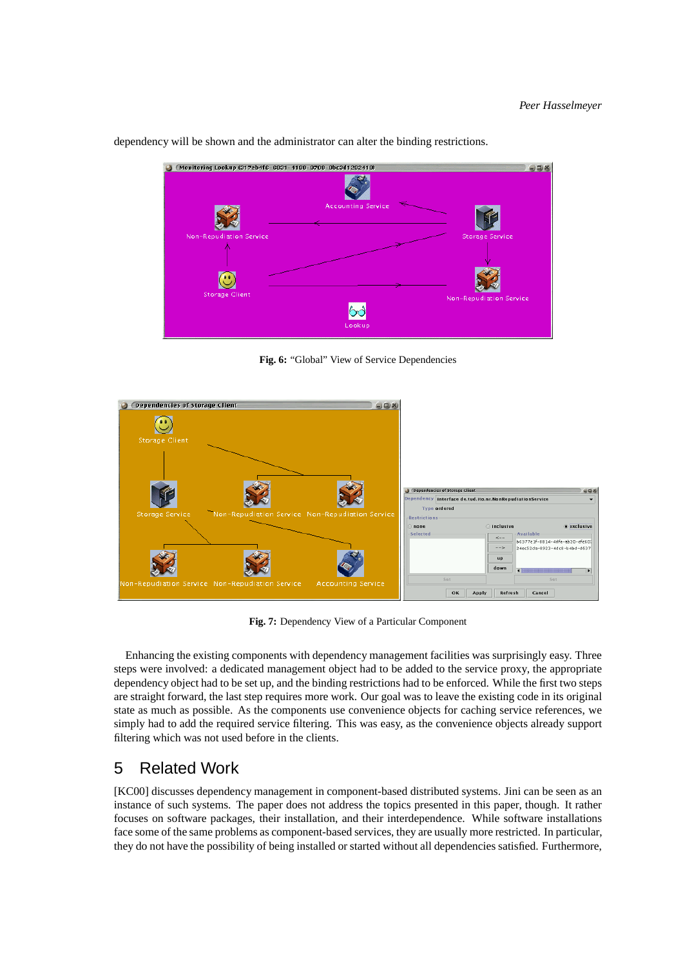

dependency will be shown and the administrator can alter the binding restrictions.

**Fig. 6:** "Global" View of Service Dependencies



**Fig. 7:** Dependency View of a Particular Component

Enhancing the existing components with dependency management facilities was surprisingly easy. Three steps were involved: a dedicated management object had to be added to the service proxy, the appropriate dependency object had to be set up, and the binding restrictions had to be enforced. While the first two steps are straight forward, the last step requires more work. Our goal was to leave the existing code in its original state as much as possible. As the components use convenience objects for caching service references, we simply had to add the required service filtering. This was easy, as the convenience objects already support filtering which was not used before in the clients.

# 5 Related Work

[KC00] discusses dependency management in component-based distributed systems. Jini can be seen as an instance of such systems. The paper does not address the topics presented in this paper, though. It rather focuses on software packages, their installation, and their interdependence. While software installations face some of the same problems as component-based services, they are usually more restricted. In particular, they do not have the possibility of being installed or started without all dependencies satisfied. Furthermore,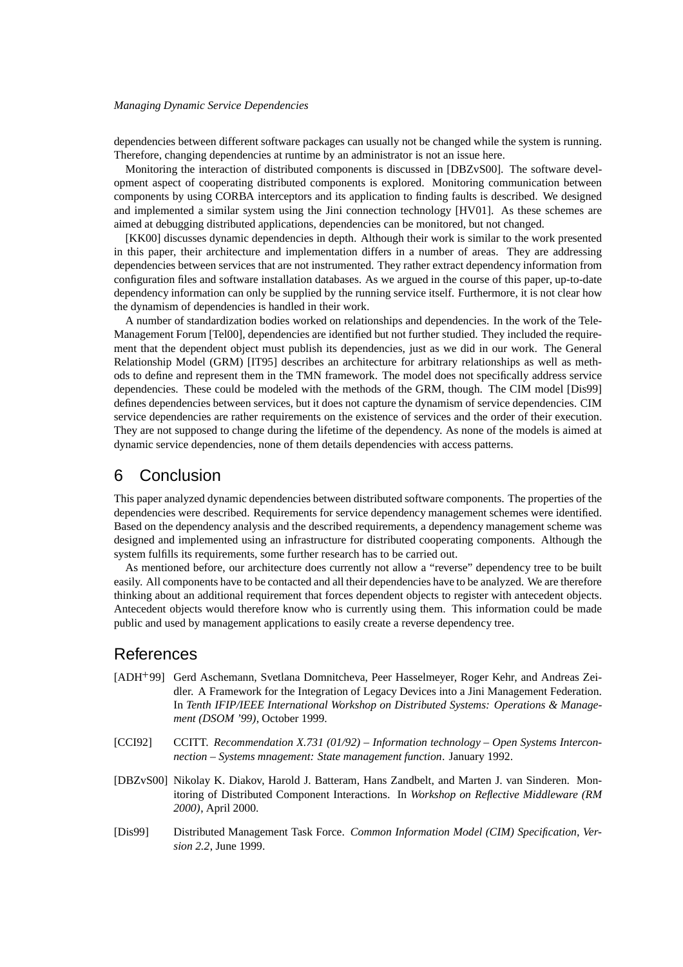dependencies between different software packages can usually not be changed while the system is running. Therefore, changing dependencies at runtime by an administrator is not an issue here.

Monitoring the interaction of distributed components is discussed in [DBZvS00]. The software development aspect of cooperating distributed components is explored. Monitoring communication between components by using CORBA interceptors and its application to finding faults is described. We designed and implemented a similar system using the Jini connection technology [HV01]. As these schemes are aimed at debugging distributed applications, dependencies can be monitored, but not changed.

[KK00] discusses dynamic dependencies in depth. Although their work is similar to the work presented in this paper, their architecture and implementation differs in a number of areas. They are addressing dependencies between services that are not instrumented. They rather extract dependency information from configuration files and software installation databases. As we argued in the course of this paper, up-to-date dependency information can only be supplied by the running service itself. Furthermore, it is not clear how the dynamism of dependencies is handled in their work.

A number of standardization bodies worked on relationships and dependencies. In the work of the Tele-Management Forum [Tel00], dependencies are identified but not further studied. They included the requirement that the dependent object must publish its dependencies, just as we did in our work. The General Relationship Model (GRM) [IT95] describes an architecture for arbitrary relationships as well as methods to define and represent them in the TMN framework. The model does not specifically address service dependencies. These could be modeled with the methods of the GRM, though. The CIM model [Dis99] defines dependencies between services, but it does not capture the dynamism of service dependencies. CIM service dependencies are rather requirements on the existence of services and the order of their execution. They are not supposed to change during the lifetime of the dependency. As none of the models is aimed at dynamic service dependencies, none of them details dependencies with access patterns.

# 6 Conclusion

This paper analyzed dynamic dependencies between distributed software components. The properties of the dependencies were described. Requirements for service dependency management schemes were identified. Based on the dependency analysis and the described requirements, a dependency management scheme was designed and implemented using an infrastructure for distributed cooperating components. Although the system fulfills its requirements, some further research has to be carried out.

As mentioned before, our architecture does currently not allow a "reverse" dependency tree to be built easily. All components have to be contacted and all their dependencies have to be analyzed. We are therefore thinking about an additional requirement that forces dependent objects to register with antecedent objects. Antecedent objects would therefore know who is currently using them. This information could be made public and used by management applications to easily create a reverse dependency tree.

# References

- [ADH 99] Gerd Aschemann, Svetlana Domnitcheva, Peer Hasselmeyer, Roger Kehr, and Andreas Zeidler. A Framework for the Integration of Legacy Devices into a Jini Management Federation. In *Tenth IFIP/IEEE International Workshop on Distributed Systems: Operations & Management (DSOM '99)*, October 1999.
- [CCI92] CCITT. *Recommendation X.731 (01/92) – Information technology – Open Systems Interconnection – Systems mnagement: State management function*. January 1992.
- [DBZvS00] Nikolay K. Diakov, Harold J. Batteram, Hans Zandbelt, and Marten J. van Sinderen. Monitoring of Distributed Component Interactions. In *Workshop on Reflective Middleware (RM 2000)*, April 2000.
- [Dis99] Distributed Management Task Force. *Common Information Model (CIM) Specification, Version 2.2*, June 1999.